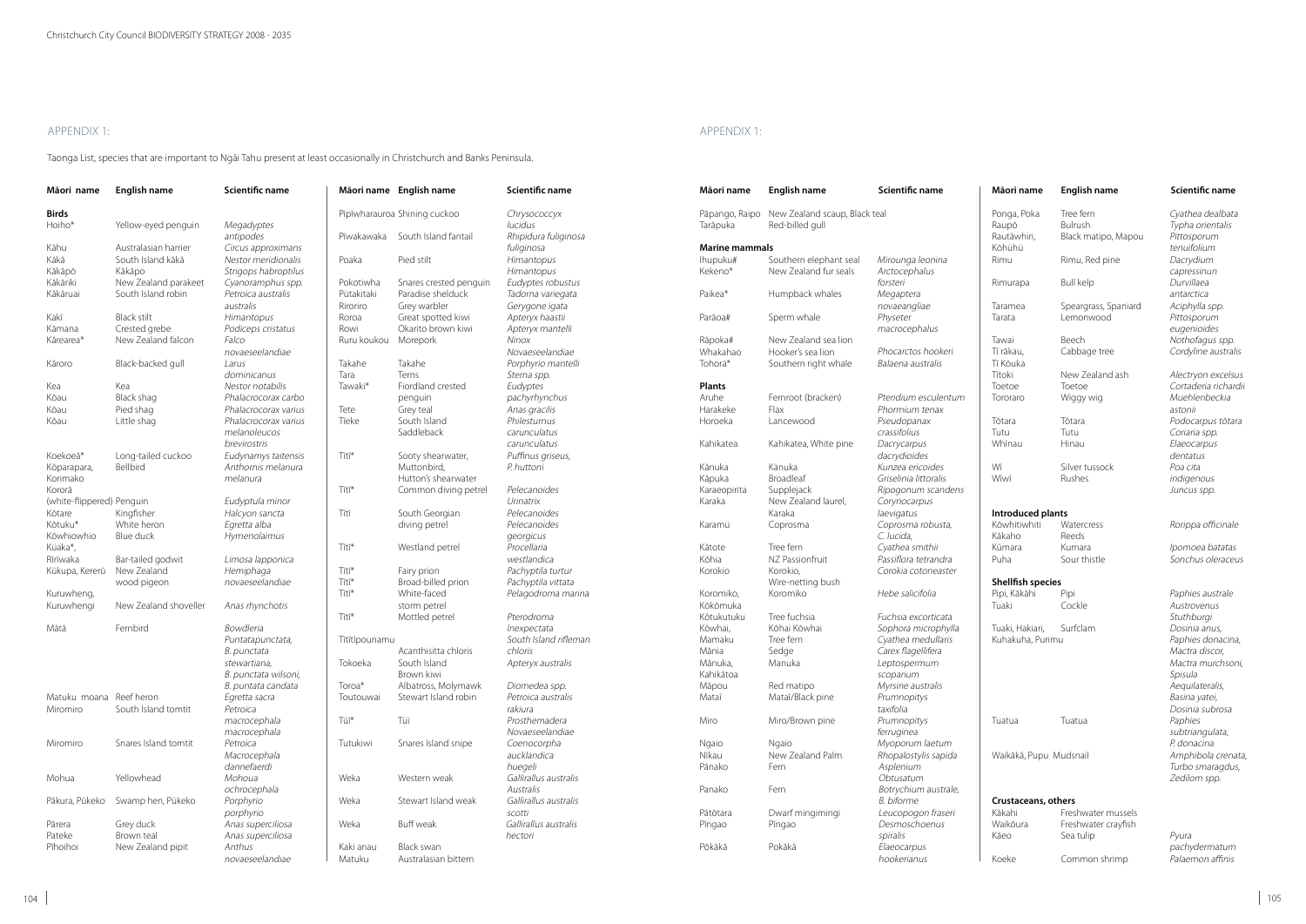# Appendix 1:

Taonga List, species that are important to Ngāi Tahu present at least occasionally in Christchurch and Banks Peninsula.

| Māori name                | English name          | Scientific name               |               | Māori name English name              | Scientific name       | Māori name            | English name                  | Scientific name       |
|---------------------------|-----------------------|-------------------------------|---------------|--------------------------------------|-----------------------|-----------------------|-------------------------------|-----------------------|
| <b>Birds</b>              |                       |                               |               | Pīpīwharauroa Shining cuckoo         | Chrysococcyx          | Pāpango, Raipo        | New Zealand scaup, Black teal |                       |
| Hoiho*                    | Yellow-eyed penguin   | Megadyptes                    |               |                                      | lucidus               | Tarāpuka              | Red-billed gull               |                       |
|                           |                       | antipodes                     | Pīwakawaka    | South Island fantail                 | Rhipidura fuliginosa  |                       |                               |                       |
| Kāhu                      | Australasian harrier  | Circus approximans            |               |                                      | fuliginosa            | <b>Marine mammals</b> |                               |                       |
| Kākā                      | South Island kākā     | Nestor meridionalis           | Poaka         | Pied stilt                           | Himantopus            | lhupuku#              | Southern elephant seal        | Mirounga leonina      |
| Kākāpō                    | Kākāpo                | Strigops habroptilus          |               |                                      | Himantopus            | Kekeno*               | New Zealand fur seals         | Arctocephalus         |
| Kākāriki                  | New Zealand parakeet  | Cyanoramphus spp.             | Pokotiwha     | Snares crested penguin               | Eudyptes robustus     |                       |                               | forsteri              |
| Kākāruai                  | South Island robin    | Petroica australis            | Pütakitaki    | Paradise shelduck                    | Tadorna variegata     | Paikea*               | Humpback whales               | Megaptera             |
|                           |                       | australis                     | Riroriro      | Grey warbler                         | Gerygone igata        |                       |                               | novaeangliae          |
| Kakī                      | <b>Black stilt</b>    | Himantopus                    | Roroa         | Great spotted kiwi                   | Apteryx haastii       | Parāoa#               | Sperm whale                   | Physeter              |
| Kāmana                    | Crested grebe         | Podiceps cristatus            | Rowi          | Okarito brown kiwi                   | Apteryx mantelli      |                       |                               | macrocephalus         |
| Kārearea*                 | New Zealand falcon    | Falco                         | Ruru koukou   | Morepork                             | Ninox                 | Rāpoka#               | New Zealand sea lion          |                       |
|                           |                       | novaeseelandiae               |               |                                      | Novaeseelandiae       | Whakahao              | Hooker's sea lion             | Phocarctos hookeri    |
| Kāroro                    | Black-backed gull     | Larus                         | Takahe        | Takahe                               | Porphyrio mantelli    | Tohorä*               | Southern right whale          | Balaena australis     |
|                           |                       | dominicanus                   | Tara          | Terns                                | Sterna spp.           |                       |                               |                       |
| Kea                       | Kea                   | Nestor notabilis              | Tawaki*       | Fiordland crested                    | Eudyptes              | <b>Plants</b>         |                               |                       |
| Kōau                      | Black shag            | Phalacrocorax carbo           |               | penguin                              | pachyrhynchus         | Aruhe                 | Fernroot (bracken)            | Pteridium esculentum  |
| Kōau                      | Pied shag             | Phalacrocorax varius          | Tete          | Grey teal                            | Anas gracilis         | Harakeke              | Flax                          | Phormium tenax        |
| Kōau                      | Little shag           | Phalacrocorax varius          | Tīeke         | South Island                         | Philesturnus          | Horoeka               | Lancewood                     | Pseudopanax           |
|                           |                       | melanoleucos                  |               | Saddleback                           | carunculatus          |                       |                               | crassifolius          |
|                           |                       | brevirostris                  |               |                                      | carunculatus          | Kahikatea             | Kahikatea, White pine         | Dacrycarpus           |
| Koekoeā*                  | Long-tailed cuckoo    | Eudynamys taitensis           | Tītī*         | Sooty shearwater,                    | Puffinus griseus,     |                       |                               | dacrydioides          |
| Kōparapara,               | Bellbird              | Anthornis melanura            |               | Muttonbird,                          | P. huttoni            | Kānuka                | Känuka                        | Kunzea ericoides      |
| Korimako                  |                       | melanura                      |               | Hutton's shearwater                  |                       | Kāpuka                | Broadleaf                     | Griselinia littoralis |
| Kororā                    |                       |                               | Tītī*         | Common diving petrel                 | Pelecanoides          | Karaeopirita          | Supplejack                    | Ripogonum scandens    |
| (white-flippered) Penguin |                       | Eudyptula minor               |               |                                      | Urinatrix             | Karaka                | New Zealand laurel,           | Corynocarpus          |
| Kōtare                    | Kingfisher            | Halcyon sancta                | Tītī          | South Georgian                       | Pelecanoides          |                       | Karaka                        | laevigatus            |
| Kōtuku*                   | White heron           | Egretta alba                  |               | diving petrel                        | Pelecanoides          | Karamü                | Coprosma                      | Coprosma robusta,     |
| Kōwhiowhio                | Blue duck             | Hymenolaimus                  |               |                                      | georgicus             |                       |                               | C. lucida,            |
| Küaka*,                   |                       |                               | Tītī*         | Westland petrel                      | Procellaria           | Kātote                | Tree fern                     | Cyathea smithii       |
| Rīrīwaka                  | Bar-tailed godwit     |                               |               |                                      | westlandica           | Kōhia                 | NZ Passionfruit               | Passiflora tetrandra  |
| Kūkupa, Kererū            | New Zealand           | Limosa lapponica<br>Hemiphaga | Tītī*         | Fairy prion                          | Pachyptila turtur     | Korokio               | Korokio,                      | Corokia cotoneaster   |
|                           |                       | novaeseelandiae               | Tītī*         | Broad-billed prion                   | Pachyptila vittata    |                       | Wire-netting bush             |                       |
| Kuruwheng,                | wood pigeon           |                               | Tītī*         | White-faced                          | Pelagodroma marina    | Koromiko,             | Koromiko                      | Hebe salicifolia      |
|                           | New Zealand shoveller | Anas rhynchotis               |               | storm petrel                         |                       | Kōkōmuka              |                               |                       |
| Kuruwhengi                |                       |                               | Tītī*         | Mottled petrel                       | Pterodroma            | Kōtukutuku            | Tree fuchsia                  | Fuchsia excorticata   |
| Mātā                      | Fernbird              | Bowdleria                     |               |                                      | Inexpectata           | Kōwhai,               | Kōhai Kōwhai                  | Sophora microphylla   |
|                           |                       |                               |               |                                      | South Island rifleman | Mamaku                | Tree fern                     | Cyathea medullaris    |
|                           |                       | Puntatapunctata,              | Tītītīpounamu |                                      | chloris               |                       |                               |                       |
|                           |                       | B. punctata                   |               | Acanthisitta chloris<br>South Island |                       | Mānia                 | Sedge                         | Carex flagellifera    |
|                           |                       | stewartiana,                  | Tokoeka       |                                      | Apteryx australis     | Mānuka,               | Manuka                        | Leptospermum          |
|                           |                       | B. punctata wilsoni,          |               | Brown kiwi                           |                       | Kahikātoa             |                               | scoparium             |
|                           |                       | B. puntata candata            | Toroa*        | Albatross, Molymawk                  | Diomedea spp.         | Māpou                 | Red matipo                    | Myrsine australis     |
| Matuku moana Reef heron   |                       | Egretta sacra                 | Toutouwai     | Stewart Island robin                 | Petroica australis    | Mataī                 | Mataī/Black pine              | Prumnopitys           |
| Miromiro                  | South Island tomtit   | Petroica                      |               |                                      | rakiura               |                       |                               | taxifolia             |
|                           |                       | macrocephala                  | Tūī*          | Tüï                                  | Prosthemadera         | Miro                  | Miro/Brown pine               | Prumnopitys           |
|                           |                       | macrocephala                  |               |                                      | Novaeseelandiae       |                       |                               | ferruginea            |
| Miromiro                  | Snares Island tomtit  | Petroica                      | Tutukiwi      | Snares Island snipe                  | Coenocorpha           | Ngaio                 | Ngaio                         | Myoporum laetum       |
|                           |                       | Macrocephala                  |               |                                      | aucklandica           | Nīkau                 | New Zealand Palm              | Rhopalostylis sapida  |
|                           |                       | dannefaerdi                   |               |                                      | huegeli               | Pānako                | Fern                          | Asplenium             |
| Mohua                     | Yellowhead            | Mohoua                        | Weka          | Western weak                         | Gallirallus australis |                       |                               | Obtusatum             |
|                           |                       | ochrocephala                  |               |                                      | Australis             | Panako                | Fern                          | Botrychium australe,  |
| Pākura, Pūkeko            | Swamp hen, Pükeko     | Porphyrio                     | Weka          | Stewart Island weak                  | Gallirallus australis |                       |                               | <b>B.</b> biforme     |
|                           |                       | porphyrio                     |               |                                      | scotti                | Pātōtara              | Dwarf mingimingi              | Leucopogon fraseri    |
| Pārera                    | Grey duck             | Anas superciliosa             | Weka          | Buff weak                            | Gallirallus australis | Pīngao                | Pīngao                        | Desmoschoenus         |
| Pateke                    | Brown teal            | Anas superciliosa             |               |                                      | hectori               |                       |                               | spiralis              |
| Pīhoihoi                  | New Zealand pipit     | Anthus                        | Kaki anau     | Black swan                           |                       | Pōkākā                | Pokākā                        | Elaeocarpus           |
|                           |                       | novaeseelandiae               | Matuku        | Australasian bittern                 |                       |                       |                               | hookerianus           |

 $104$ 

Titoki New Zealand ash *Alectryon excelsus*<br>Toetoe Toetoe *Cortaderia richardii* Toetoe Toetoe Toetoe Cortaderia richardii<br>Tororaro Wiggy wig Muehlenbeckia Tororaro Wiggy wig Muehlenbeckia astonii Tōtara Tōtara Podocarpus tōtara Tutu Tutu Coriaria spp.<br>
Whinau Hinau Hinau *Elaeocarpus* Elaeocarpus dentatus indigenous Juncus spp.

Praceus

Austrovenus Stuthburgi Mactra discor, Mactra murchsoni, Spisula Aequilateralis, Basina yatei, Dosinia subrosa Tuatua Tuatua Paphies subtriangulata, P. donacina Turbo smaragdus, Zedilom spp.

> Pyura pachydermatum<br>Palaemon affinis

### **Māori name English name Scientific name**

Ponga, Poka Tree fern Cyathea dealbata<br>
Raupō Bulrush Typha orientalis Typha orientalis<br>Pittosporum Kōhühü<br>Rimu Rimu, Red pine *Dacrydium* capressinun Rimurapa Bull kelp Durvillaea antarctica Taramea Speargrass, Spaniard Aciphylla spp.<br>Tarata Lemonwood Pittosporum eugenioides Tawai Beech Beech Nothofagus spp.<br>Ti rākau, Cabbage tree Cordyline austral Cordyline australis

Tī Kōuka

Lemonwood

Rimu, Red pine

Wī Silver tussock *Poa cita*<br>Wīwī Rushes *indigenc* 

### **Introduced plants**

| <b>Watercress</b> | Rorippa officinale |
|-------------------|--------------------|
| <b>Reeds</b>      |                    |
| Kumara            | Ipomoea batatas    |
| Sour thistle      | Sonchus oleraceu   |
|                   |                    |

# **Shellfish species**

Pipi, Kākāhi Pipi Pipi Paphies australe<br>Tuaki Cockle Pusht Austrovenus

Tuaki, Hakiari, Surfclam Dosinia anus, Kuhakuha, Purimu Paphies donacina,

Waikākā, Pupu Mudsnail **Amphibola** crenata,

### **Crustaceans, others**

| Kākahi   | Freshwater mussels  |
|----------|---------------------|
| Waikōura | Freshwater crayfish |
| Kāeo     | Sea tulip           |
|          |                     |

Koeke Common shrimp

Appendix 1:

Rautāwhiri, Black matipo, Mapou<br>Kōhühü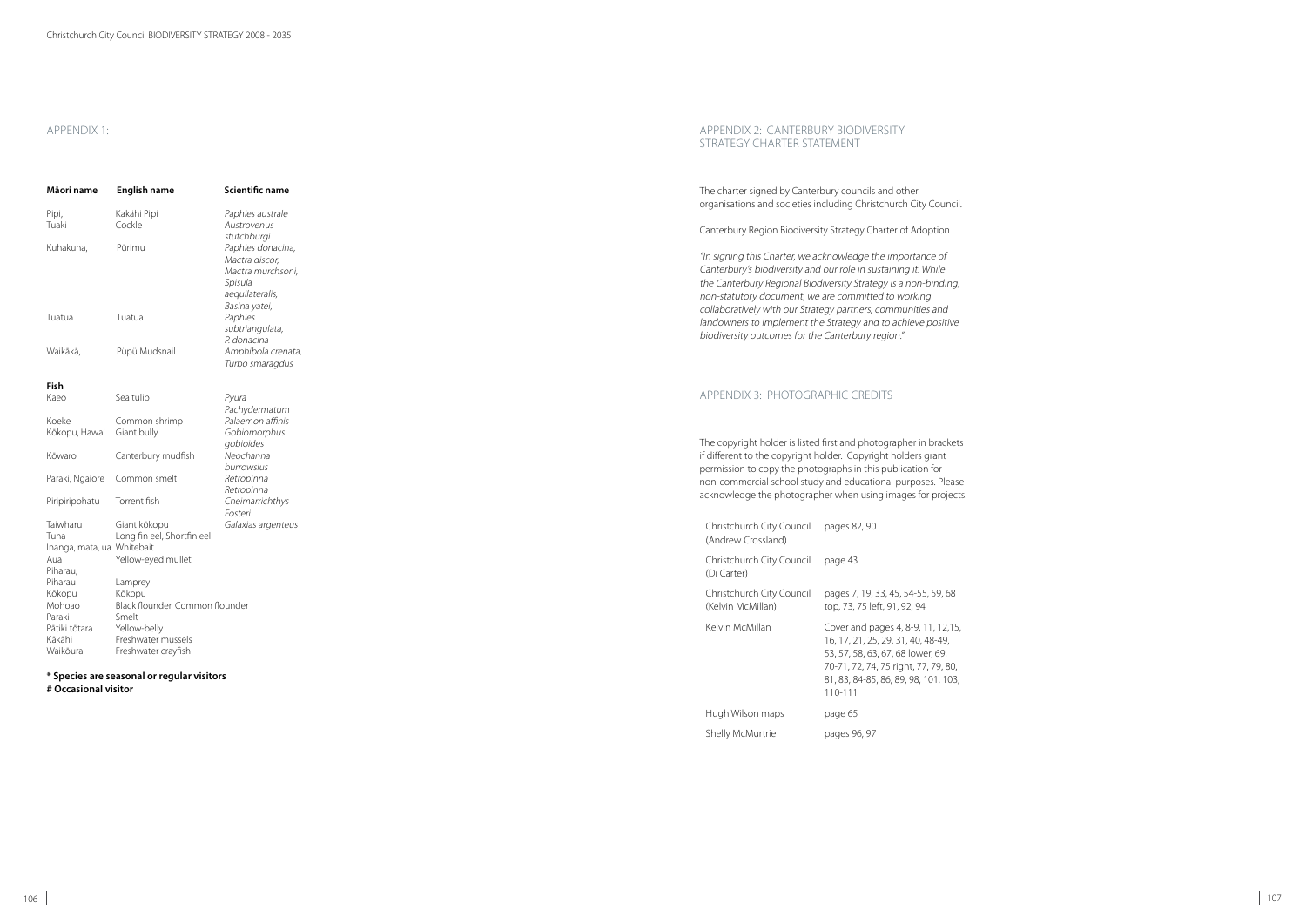# APPENDIX 1:

d other urch City Council.

# er of Adoption

mportance of . . .<br>ining it. While is a non-binding, non-statutory d nmunities and achieve positive<br>on."

| <b>APPENDIX 1:</b>         |                                            |                                       | APPENDIX 2: CANTERBURY BIODIVERSITY<br>STRATEGY CHARTER STATEMENT                                      |                                                 |
|----------------------------|--------------------------------------------|---------------------------------------|--------------------------------------------------------------------------------------------------------|-------------------------------------------------|
| Māori name                 | English name                               | Scientific name                       | The charter signed by Canterbury councils and ot<br>organisations and societies including Christchurcl |                                                 |
| Pipi,                      | Kakähi Pipi                                | Paphies australe                      |                                                                                                        |                                                 |
| Tuaki                      | Cockle                                     | Austrovenus                           | Canterbury Region Biodiversity Strategy Charter o                                                      |                                                 |
|                            |                                            | stutchburgi                           |                                                                                                        |                                                 |
| Kuhakuha,                  | Pūrimu                                     | Paphies donacina,                     | "In signing this Charter, we acknowledge the imp                                                       |                                                 |
|                            |                                            | Mactra discor,<br>Mactra murchsoni,   | Canterbury's biodiversity and our role in sustainin                                                    |                                                 |
|                            |                                            | Spisula                               | the Canterbury Regional Biodiversity Strategy is a                                                     |                                                 |
|                            |                                            | aequilateralis,                       | non-statutory document, we are committed to w                                                          |                                                 |
|                            |                                            | Basina yatei,                         |                                                                                                        |                                                 |
| Tuatua                     | Tuatua                                     | Paphies                               | collaboratively with our Strategy partners, commi                                                      |                                                 |
|                            |                                            | subtriangulata,                       | landowners to implement the Strategy and to acl                                                        |                                                 |
|                            |                                            | P. donacina                           | biodiversity outcomes for the Canterbury region."                                                      |                                                 |
| Waikākā,                   | Püpü Mudsnail                              | Amphibola crenata,<br>Turbo smaragdus |                                                                                                        |                                                 |
| Fish                       |                                            |                                       |                                                                                                        |                                                 |
| Kaeo                       | Sea tulip                                  | Pyura                                 | APPENDIX 3: PHOTOGRAPHIC CREDITS                                                                       |                                                 |
|                            |                                            | Pachydermatum                         |                                                                                                        |                                                 |
| Koeke                      | Common shrimp                              | Palaemon affinis                      |                                                                                                        |                                                 |
| Kōkopu, Hawai              | Giant bully                                | Gobiomorphus                          | The copyright holder is listed first and photograpl                                                    |                                                 |
| Kōwaro                     | Canterbury mudfish                         | gobioides<br>Neochanna                | if different to the copyright holder. Copyright hol                                                    |                                                 |
|                            |                                            | burrowsius                            |                                                                                                        |                                                 |
|                            | Paraki, Ngaiore Common smelt               | Retropinna                            | permission to copy the photographs in this publi-                                                      |                                                 |
|                            |                                            | Retropinna                            | non-commercial school study and educational pu                                                         |                                                 |
| Piripiripohatu             | Torrent fish                               | Cheimarrichthys                       | acknowledge the photographer when using imag                                                           |                                                 |
|                            |                                            | Fosteri                               |                                                                                                        |                                                 |
| Taiwharu                   | Giant kōkopu                               | Galaxias argenteus                    | Christchurch City Council                                                                              | pages 82, 90                                    |
| Tuna                       | Long fin eel, Shortfin eel                 |                                       | (Andrew Crossland)                                                                                     |                                                 |
| Īnanga, mata, ua Whitebait |                                            |                                       |                                                                                                        |                                                 |
| Aua                        | Yellow-eyed mullet                         |                                       | Christchurch City Council                                                                              | page 43                                         |
| Piharau,                   |                                            |                                       | (Di Carter)                                                                                            |                                                 |
| Piharau                    | Lamprey                                    |                                       | Christchurch City Council                                                                              |                                                 |
| Kōkopu<br>Mohoao           | Kōkopu<br>Black flounder, Common flounder  |                                       |                                                                                                        | pages 7, 19, 33, 45,                            |
| Paraki                     | Smelt                                      |                                       | (Kelvin McMillan)                                                                                      | top, 73, 75 left, 91, 9                         |
| Pātiki tōtara              | Yellow-belly                               |                                       | Kelvin McMillan                                                                                        | Cover and pages 4,                              |
| Kākāhi                     | Freshwater mussels                         |                                       |                                                                                                        | 16, 17, 21, 25, 29, 31                          |
| Waikōura                   | Freshwater crayfish                        |                                       |                                                                                                        | 53, 57, 58, 63, 67, 68<br>70-71, 72, 74, 75 rig |
|                            | * Species are seasonal or regular visitors |                                       |                                                                                                        | 81, 83, 84-85, 86, 89                           |
| # Occasional visitor       |                                            |                                       |                                                                                                        | $110 - 111$                                     |

## Appendix 3: PHOTOGRAPHIC CREDITS

rapher in brackets i<br>holders grant ublication for nder purposes. Please mages for projects.

| Christchurch City Council<br>(Andrew Crossland) | pages 82, 90                                                                                                                                                                                              |
|-------------------------------------------------|-----------------------------------------------------------------------------------------------------------------------------------------------------------------------------------------------------------|
| Christchurch City Council<br>(Di Carter)        | page 43                                                                                                                                                                                                   |
| Christchurch City Council<br>(Kelvin McMillan)  | pages 7, 19, 33, 45, 54-55, 59, 68<br>top, 73, 75 left, 91, 92, 94                                                                                                                                        |
| Kelvin McMillan                                 | Cover and pages 4, 8-9, 11, 12, 15,<br>16, 17, 21, 25, 29, 31, 40, 48-49,<br>53, 57, 58, 63, 67, 68 lower, 69,<br>70-71, 72, 74, 75 right, 77, 79, 80,<br>81, 83, 84-85, 86, 89, 98, 101, 103,<br>110-111 |
| Hugh Wilson maps                                | page 65                                                                                                                                                                                                   |
| <b>Shelly McMurtrie</b>                         | pages 96, 97                                                                                                                                                                                              |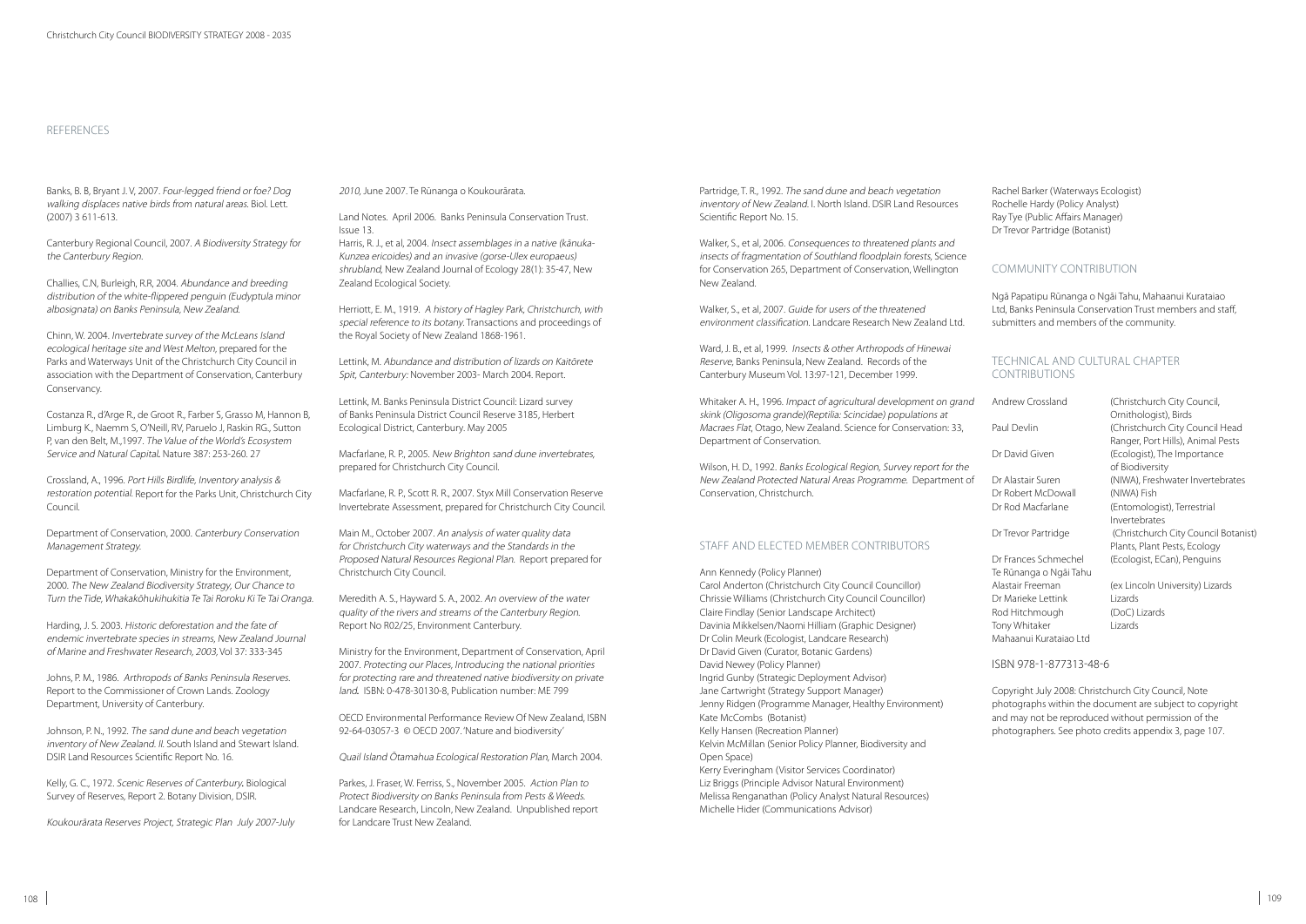Banks, B. B, Bryant J. V, 2007. Four-legged friend or foe? Dog walking displaces native birds from natural areas. Biol. Lett. (2007) 3 611-613.

Canterbury Regional Council, 2007. A Biodiversity Strategy for the Canterbury Region.

Challies, C.N, Burleigh, R.R, 2004. Abundance and breeding distribution of the white-flippered penguin (Eudyptula minor albosignata) on Banks Peninsula, New Zealand.

Chinn, W. 2004. Invertebrate survey of the McLeans Island ecological heritage site and West Melton, prepared for the Parks and Waterways Unit of the Christchurch City Council in association with the Department of Conservation, Canterbury Conservancy.

Costanza R., d'Arge R., de Groot R., Farber S, Grasso M, Hannon B, Limburg K., Naemm S, O'Neill, RV, Paruelo J, Raskin RG., Sutton P, van den Belt, M.,1997. The Value of the World's Ecosystem Service and Natural Capital*.* Nature 387: 253-260. 27

Crossland, A., 1996. Port Hills Birdlife, Inventory analysis & restoration potential. Report for the Parks Unit, Christchurch City Council.

Department of Conservation, 2000. Canterbury Conservation Management Strategy.

Department of Conservation, Ministry for the Environment, 2000. The New Zealand Biodiversity Strategy, Our Chance to Turn the Tide, Whakakōhukihukitia Te Tai Roroku Ki Te Tai Oranga.

Harding, J. S. 2003. Historic deforestation and the fate of endemic invertebrate species in streams, New Zealand Journal of Marine and Freshwater Research, 2003, Vol 37: 333-345

Johns, P. M., 1986. Arthropods of Banks Peninsula Reserves. Report to the Commissioner of Crown Lands. Zoology Department, University of Canterbury.

Johnson, P. N., 1992. The sand dune and beach vegetation inventory of New Zealand. II. South Island and Stewart Island. DSIR Land Resources Scientific Report No. 16.

Kelly, G. C., 1972. Scenic Reserves of Canterbury*.* Biological Survey of Reserves, Report 2. Botany Division, DSIR.

Koukourārata Reserves Project, Strategic Plan July 2007-July

### References

2010, June 2007. Te Rūnanga o Koukourārata.

Land Notes. April 2006. Banks Peninsula Conservation Trust. Issue 13.

Harris, R. J., et al, 2004. Insect assemblages in a native (kānuka-Kunzea ericoides) and an invasive (gorse-Ulex europaeus) shrubland, New Zealand Journal of Ecology 28(1): 35-47, New Zealand Ecological Society.

> Ward, J. B., et al. 1999. *Insects & other Arthropods of Hinewai* Reserve, Banks Peninsula, New Zealand. Records of the Canterbury Museum Vol. 13:97-121, December 1999.

Herriott, E. M., 1919. A history of Hagley Park, Christchurch, with special reference to its botany. Transactions and proceedings of the Royal Society of New Zealand 1868-1961.

Lettink, M. Abundance and distribution of lizards on Kaitōrete Spit, Canterbury: November 2003- March 2004. Report.

Lettink, M. Banks Peninsula District Council: Lizard survey of Banks Peninsula District Council Reserve 3185, Herbert Ecological District, Canterbury. May 2005

Macfarlane, R. P., 2005. New Brighton sand dune invertebrates, prepared for Christchurch City Council.

Macfarlane, R. P., Scott R. R., 2007. Styx Mill Conservation Reserve Invertebrate Assessment, prepared for Christchurch City Council.

### Technical and Cultural Chapter CONTRIBUTIONS

Main M., October 2007. An analysis of water quality data for Christchurch City waterways and the Standards in the Proposed Natural Resources Regional Plan. Report prepared for Christchurch City Council.

Meredith A. S., Hayward S. A., 2002. An overview of the water quality of the rivers and streams of the Canterbury Region. Report No R02/25, Environment Canterbury.

Ministry for the Environment, Department of Conservation, April 2007. Protecting our Places, Introducing the national priorities for protecting rare and threatened native biodiversity on private land*.* ISBN: 0-478-30130-8, Publication number: ME 799

OECD Environmental Performance Review Of New Zealand, ISBN 92-64-03057-3 © OECD 2007. 'Nature and biodiversity'

Quail Island Ōtamahua Ecological Restoration Plan, March 2004.

Parkes, J. Fraser, W. Ferriss, S., November 2005. Action Plan to Protect Biodiversity on Banks Peninsula from Pests & Weeds. Landcare Research, Lincoln, New Zealand. Unpublished report for Landcare Trust New Zealand.

Partridge, T. R., 1992. The sand dune and beach vegetation inventory of New Zealand. I. North Island. DSIR Land Resources Scientific Report No. 15.

Walker, S., et al, 2006. Consequences to threatened plants and insects of fragmentation of Southland floodplain forests, Science for Conservation 265, Department of Conservation, Wellington New Zealand.

Walker, S., et al. 2007. Guide for users of the threatened environment classification. Landcare Research New Zealand Ltd.

Whitaker A. H., 1996. Impact of agricultural development on grand skink (Oligosoma grande)(Reptilia: Scincidae) populations at Macraes Flat, Otago, New Zealand. Science for Conservation: 33, Department of Conservation.

Wilson, H. D., 1992. Banks Ecological Region, Survey report for the New Zealand Protected Natural Areas Programme. Department of Conservation, Christchurch.

# Staff and Elected Member Contributors

Ann Kennedy (Policy Planner) Carol Anderton (Christchurch City Council Councillor) Chrissie Williams (Christchurch City Council Councillor) Claire Findlay (Senior Landscape Architect) Davinia Mikkelsen/Naomi Hilliam (Graphic Designer) Dr Colin Meurk (Ecologist, Landcare Research) Dr David Given (Curator, Botanic Gardens) David Newey (Policy Planner) Ingrid Gunby (Strategic Deployment Advisor) Jane Cartwright (Strategy Support Manager) Jenny Ridgen (Programme Manager, Healthy Environment) Kate McCombs (Botanist) Kelly Hansen (Recreation Planner) Kelvin McMillan (Senior Policy Planner, Biodiversity and Open Space) Kerry Everingham (Visitor Services Coordinator) Liz Briggs (Principle Advisor Natural Environment) Melissa Renganathan (Policy Analyst Natural Resources) Michelle Hider (Communications Advisor)

Rachel Barker (Waterways Ecologist) Rochelle Hardy (Policy Analyst) Ray Tye (Public Affairs Manager) Dr Trevor Partridge (Botanist)

# Community Contribution

Ngā Papatipu Rūnanga o Ngāi Tahu, Mahaanui Kurataiao Ltd, Banks Peninsula Conservation Trust members and staff, submitters and members of the community.

| Andrew Crossland       | (Christchurch City Council,          |
|------------------------|--------------------------------------|
|                        | Ornithologist), Birds                |
| Paul Devlin            | (Christchurch City Council Head      |
|                        | Ranger, Port Hills), Animal Pests    |
| Dr David Given         | (Ecologist), The Importance          |
|                        | of Biodiversity                      |
| Dr Alastair Suren      | (NIWA), Freshwater Invertebrates     |
| Dr Robert McDowall     | (NIWA) Fish                          |
| Dr Rod Macfarlane      | (Entomologist), Terrestrial          |
|                        | Invertebrates                        |
| Dr Trevor Partridge    | (Christchurch City Council Botanist) |
|                        | Plants, Plant Pests, Ecology         |
| Dr Frances Schmechel   | (Ecologist, ECan), Penguins          |
| Te Rūnanga o Ngāi Tahu |                                      |
| Alastair Freeman       | (ex Lincoln University) Lizards      |
| Dr Marieke Lettink     | Lizards                              |
| Rod Hitchmough         | (DoC) Lizards                        |
| Tony Whitaker          | Lizards                              |
| Mahaanui Kurataiao Ltd |                                      |

# ISBN 978-1-877313-48-6

Copyright July 2008: Christchurch City Council, Note photographs within the document are subject to copyright and may not be reproduced without permission of the photographers. See photo credits appendix 3, page 107.